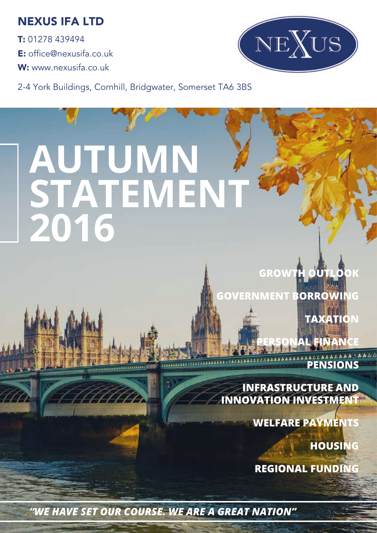### NEXUS IFA LTD

T: 01278 439494 E: office@nexusifa.co.uk W: www.nexusifa.co.uk



2-4 York Buildings, Cornhill, Bridgwater, Somerset TA6 3BS

# **AUTUMN STATEMENT 2016**

**GROWTH OUTLO GOVERNMENT BORROWING** 

**TAXATION** 

**AL FINAN** 

**PENSIONS** 

**INFRASTRUCTURE AND INNOVATION INVESTMENT**

**WELFARE PAYMENTS** 

**HOUSING** 

**REGIONAL FUNDING**

*"WE HAVE SET OUR COURSE. WE ARE A GREAT NATION"*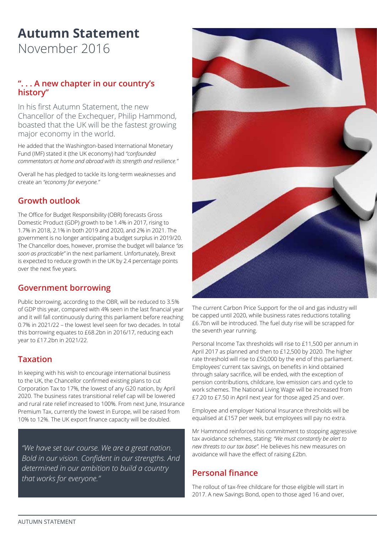## **Autumn Statement**

November 2016

#### **". . . A new chapter in our country's history"**

In his first Autumn Statement, the new Chancellor of the Exchequer, Philip Hammond, boasted that the UK will be the fastest growing major economy in the world.

He added that the Washington-based International Monetary Fund (IMF) stated it (the UK economy) had *"confounded commentators at home and abroad with its strength and resilience."*

Overall he has pledged to tackle its long-term weaknesses and create an *"economy for everyone."*

#### **Growth outlook**

The Office for Budget Responsibility (OBR) forecasts Gross Domestic Product (GDP) growth to be 1.4% in 2017, rising to 1.7% in 2018, 2.1% in both 2019 and 2020, and 2% in 2021. The government is no longer anticipating a budget surplus in 2019/20. The Chancellor does, however, promise the budget will balance *"as soon as practicable"* in the next parliament. Unfortunately, Brexit is expected to reduce growth in the UK by 2.4 percentage points over the next five years.

#### **Government borrowing**

Public borrowing, according to the OBR, will be reduced to 3.5% of GDP this year, compared with 4% seen in the last financial year and it will fall continuously during this parliament before reaching 0.7% in 2021/22 – the lowest level seen for two decades. In total this borrowing equates to £68.2bn in 2016/17, reducing each year to £17.2bn in 2021/22.

#### **Taxation**

In keeping with his wish to encourage international business to the UK, the Chancellor confirmed existing plans to cut Corporation Tax to 17%, the lowest of any G20 nation, by April 2020. The business rates transitional relief cap will be lowered and rural rate relief increased to 100%. From next June, Insurance Premium Tax, currently the lowest in Europe, will be raised from 10% to 12%. The UK export finance capacity will be doubled.

*"We have set our course. We are a great nation. Bold in our vision. Confident in our strengths. And determined in our ambition to build a country that works for everyone."*



The current Carbon Price Support for the oil and gas industry will be capped until 2020, while business rates reductions totalling £6.7bn will be introduced. The fuel duty rise will be scrapped for the seventh year running.

Personal Income Tax thresholds will rise to £11,500 per annum in April 2017 as planned and then to £12,500 by 2020. The higher rate threshold will rise to £50,000 by the end of this parliament. Employees' current tax savings, on benefits in kind obtained through salary sacrifice, will be ended, with the exception of pension contributions, childcare, low emission cars and cycle to work schemes. The National Living Wage will be increased from £7.20 to £7.50 in April next year for those aged 25 and over.

Employee and employer National Insurance thresholds will be equalised at £157 per week, but employees will pay no extra.

Mr Hammond reinforced his commitment to stopping aggressive tax avoidance schemes, stating: *"We must constantly be alert to new threats to our tax base".* He believes his new measures on avoidance will have the effect of raising £2bn.

#### **Personal finance**

The rollout of tax-free childcare for those eligible will start in 2017. A new Savings Bond, open to those aged 16 and over,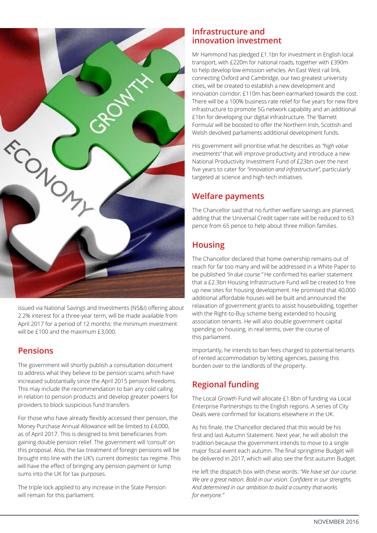

issued via National Savings and Investments (NS&I) offering about 2.2% interest for a three-year term, will be made available from April 2017 for a period of 12 months: the minimum investment will be £100 and the maximum £3,000.

#### **Pensions**

The government will shortly publish a consultation document to address what they believe to be pension scams which have increased substantially since the April 2015 pension freedoms. This may include the recommendation to ban any cold calling in relation to pension products and develop greater powers for providers to block suspicious fund transfers.

For those who have already flexibly accessed their pension, the Money Purchase Annual Allowance will be limited to £4,000, as of April 2017. This is designed to limit beneficiaries from gaining double pension relief. The government will 'consult' on this proposal. Also, the tax treatment of foreign pensions will be brought into line with the UK's current domestic tax regime. This will have the effect of bringing any pension payment or lump sums into the UK for tax purposes.

The triple lock applied to any increase in the State Pension will remain for this parliament.

#### **Infrastructure and innovation investment**

Mr Hammond has pledged £1.1bn for investment in English local transport, with £220m for national roads, together with £390m to help develop low emission vehicles. An East West rail link, connecting Oxford and Cambridge, our two greatest university cities, will be created to establish a new development and innovation corridor; £110m has been earmarked towards the cost. There will be a 100% business rate relief for five years for new fibre infrastructure to promote 5G network capability and an additional £1bn for developing our digital infrastructure. The 'Barnett Formula' will be boosted to offer the Northern Irish, Scottish and Welsh devolved parliaments additional development funds.

His government will prioritise what he describes as *"high value investments"* that will improve productivity and introduce a new National Productivity Investment Fund of £23bn over the next five years to cater for *"innovation and infrastructure"*, particularly targeted at science and high-tech initiatives.

#### **Welfare payments**

The Chancellor said that no further welfare savings are planned, adding that the Universal Credit taper rate will be reduced to 63 pence from 65 pence to help about three million families.

#### **Housing**

The Chancellor declared that home ownership remains out of reach for far too many and will be addressed in a White Paper to be published *"in due course."* He confirmed his earlier statement that a £2.3bn Housing Infrastructure Fund will be created to free up new sites for housing development. He promised that 40,000 additional affordable houses will be built and announced the relaxation of government grants to assist housebuilding, together with the Right-to-Buy scheme being extended to housing association tenants. He will also double government capital spending on housing, in real terms, over the course of this parliament.

Importantly, he intends to ban fees charged to potential tenants of rented accommodation by letting agencies, passing this burden over to the landlords of the property.

#### **Regional funding**

The Local Growth Fund will allocate £1.8bn of funding via Local Enterprise Partnerships to the English regions. A series of City Deals were confirmed for locations elsewhere in the UK.

As his finale, the Chancellor declared that this would be his first and last Autumn Statement. Next year, he will abolish the tradition because the government intends to move to a single major fiscal event each autumn. The final springtime Budget will be delivered in 2017, which will also see the first autumn Budget.

He left the dispatch box with these words: *"We have set our course. We are a great nation. Bold in our vision. Confident in our strengths. And determined in our ambition to build a country that works for everyone."*